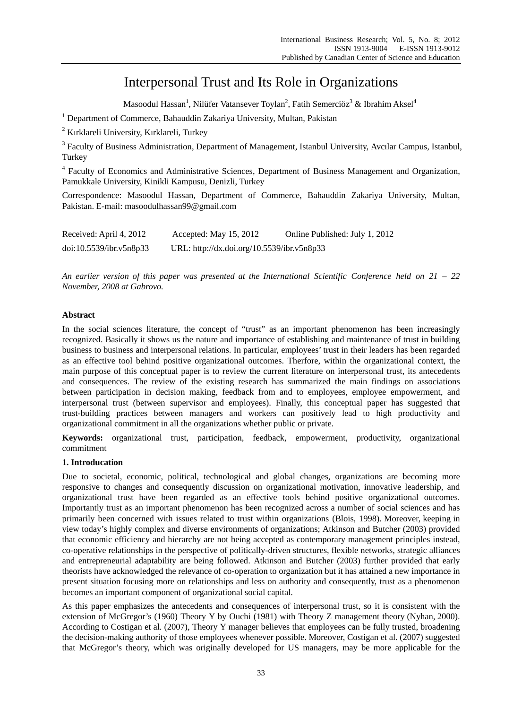# Interpersonal Trust and Its Role in Organizations

Masoodul Hassan<sup>1</sup>, Nilüfer Vatansever Toylan<sup>2</sup>, Fatih Semerciöz<sup>3</sup> & Ibrahim Aksel<sup>4</sup>

<sup>1</sup> Department of Commerce, Bahauddin Zakariya University, Multan, Pakistan

<sup>2</sup> Kırklareli University, Kırklareli, Turkey

<sup>3</sup> Faculty of Business Administration, Department of Management, Istanbul University, Avcılar Campus, Istanbul, Turkey

<sup>4</sup> Faculty of Economics and Administrative Sciences, Department of Business Management and Organization, Pamukkale University, Kinikli Kampusu, Denizli, Turkey

Correspondence: Masoodul Hassan, Department of Commerce, Bahauddin Zakariya University, Multan, Pakistan. E-mail: masoodulhassan99@gmail.com

| Received: April 4, 2012 | Accepted: May 15, 2012                     | Online Published: July 1, 2012 |
|-------------------------|--------------------------------------------|--------------------------------|
| doi:10.5539/ibr.v5n8p33 | URL: http://dx.doi.org/10.5539/ibr.v5n8p33 |                                |

*An earlier version of this paper was presented at the International Scientific Conference held on 21 – 22 November, 2008 at Gabrovo.* 

# **Abstract**

In the social sciences literature, the concept of "trust" as an important phenomenon has been increasingly recognized. Basically it shows us the nature and importance of establishing and maintenance of trust in building business to business and interpersonal relations. In particular, employees' trust in their leaders has been regarded as an effective tool behind positive organizational outcomes. Therfore, within the organizational context, the main purpose of this conceptual paper is to review the current literature on interpersonal trust, its antecedents and consequences. The review of the existing research has summarized the main findings on associations between participation in decision making, feedback from and to employees, employee empowerment, and interpersonal trust (between supervisor and employees). Finally, this conceptual paper has suggested that trust-building practices between managers and workers can positively lead to high productivity and organizational commitment in all the organizations whether public or private.

**Keywords:** organizational trust, participation, feedback, empowerment, productivity, organizational commitment

## **1. Introducation**

Due to societal, economic, political, technological and global changes, organizations are becoming more responsive to changes and consequently discussion on organizational motivation, innovative leadership, and organizational trust have been regarded as an effective tools behind positive organizational outcomes. Importantly trust as an important phenomenon has been recognized across a number of social sciences and has primarily been concerned with issues related to trust within organizations (Blois, 1998). Moreover, keeping in view today's highly complex and diverse environments of organizations; Atkinson and Butcher (2003) provided that economic efficiency and hierarchy are not being accepted as contemporary management principles instead, co-operative relationships in the perspective of politically-driven structures, flexible networks, strategic alliances and entrepreneurial adaptability are being followed. Atkinson and Butcher (2003) further provided that early theorists have acknowledged the relevance of co-operation to organization but it has attained a new importance in present situation focusing more on relationships and less on authority and consequently, trust as a phenomenon becomes an important component of organizational social capital.

As this paper emphasizes the antecedents and consequences of interpersonal trust, so it is consistent with the extension of McGregor's (1960) Theory Y by Ouchi (1981) with Theory Z management theory (Nyhan, 2000). According to Costigan et al. (2007), Theory Y manager believes that employees can be fully trusted, broadening the decision-making authority of those employees whenever possible. Moreover, Costigan et al. (2007) suggested that McGregor's theory, which was originally developed for US managers, may be more applicable for the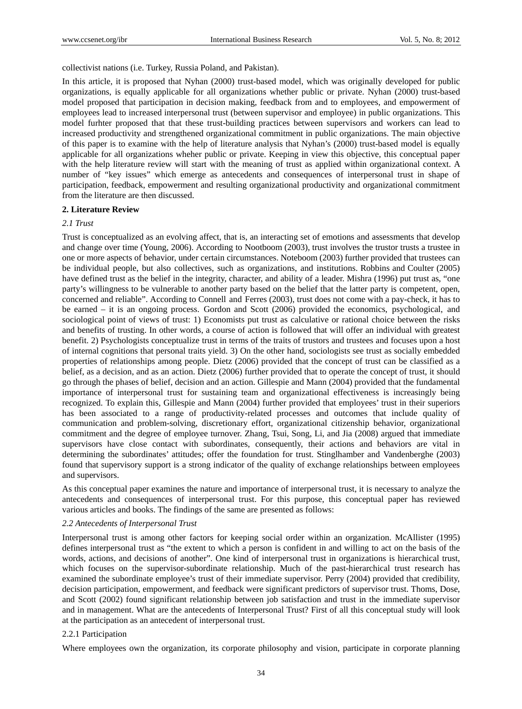collectivist nations (i.e. Turkey, Russia Poland, and Pakistan).

In this article, it is proposed that Nyhan (2000) trust-based model, which was originally developed for public organizations, is equally applicable for all organizations whether public or private. Nyhan (2000) trust-based model proposed that participation in decision making, feedback from and to employees, and empowerment of employees lead to increased interpersonal trust (between supervisor and employee) in public organizations. This model furhter proposed that that these trust-building practices between supervisors and workers can lead to increased productivity and strengthened organizational commitment in public organizations. The main objective of this paper is to examine with the help of literature analysis that Nyhan's (2000) trust-based model is equally applicable for all organizations wheher public or private. Keeping in view this objective, this conceptual paper with the help literature review will start with the meaning of trust as applied within organizational context. A number of "key issues" which emerge as antecedents and consequences of interpersonal trust in shape of participation, feedback, empowerment and resulting organizational productivity and organizational commitment from the literature are then discussed.

#### **2. Literature Review**

#### *2.1 Trust*

Trust is conceptualized as an evolving affect, that is, an interacting set of emotions and assessments that develop and change over time (Young, 2006). According to Nootboom (2003), trust involves the trustor trusts a trustee in one or more aspects of behavior, under certain circumstances. Noteboom (2003) further provided that trustees can be individual people, but also collectives, such as organizations, and institutions. Robbins and Coulter (2005) have defined trust as the belief in the integrity, character, and ability of a leader. Mishra (1996) put trust as, "one party's willingness to be vulnerable to another party based on the belief that the latter party is competent, open, concerned and reliable". According to Connell and Ferres (2003), trust does not come with a pay-check, it has to be earned – it is an ongoing process. Gordon and Scott (2006) provided the economics, psychological, and sociological point of views of trust: 1) Economists put trust as calculative or rational choice between the risks and benefits of trusting. In other words, a course of action is followed that will offer an individual with greatest benefit. 2) Psychologists conceptualize trust in terms of the traits of trustors and trustees and focuses upon a host of internal cognitions that personal traits yield. 3) On the other hand, sociologists see trust as socially embedded properties of relationships among people. Dietz (2006) provided that the concept of trust can be classified as a belief, as a decision, and as an action. Dietz (2006) further provided that to operate the concept of trust, it should go through the phases of belief, decision and an action. Gillespie and Mann (2004) provided that the fundamental importance of interpersonal trust for sustaining team and organizational effectiveness is increasingly being recognized. To explain this, Gillespie and Mann (2004) further provided that employees' trust in their superiors has been associated to a range of productivity-related processes and outcomes that include quality of communication and problem-solving, discretionary effort, organizational citizenship behavior, organizational commitment and the degree of employee turnover. Zhang, Tsui, Song, Li, and Jia (2008) argued that immediate supervisors have close contact with subordinates, consequently, their actions and behaviors are vital in determining the subordinates' attitudes; offer the foundation for trust. Stinglhamber and Vandenberghe (2003) found that supervisory support is a strong indicator of the quality of exchange relationships between employees and supervisors.

As this conceptual paper examines the nature and importance of interpersonal trust, it is necessary to analyze the antecedents and consequences of interpersonal trust. For this purpose, this conceptual paper has reviewed various articles and books. The findings of the same are presented as follows:

#### *2.2 Antecedents of Interpersonal Trust*

Interpersonal trust is among other factors for keeping social order within an organization. McAllister (1995) defines interpersonal trust as "the extent to which a person is confident in and willing to act on the basis of the words, actions, and decisions of another". One kind of interpersonal trust in organizations is hierarchical trust, which focuses on the supervisor-subordinate relationship. Much of the past-hierarchical trust research has examined the subordinate employee's trust of their immediate supervisor. Perry (2004) provided that credibility, decision participation, empowerment, and feedback were significant predictors of supervisor trust. Thoms, Dose, and Scott (2002) found significant relationship between job satisfaction and trust in the immediate supervisor and in management. What are the antecedents of Interpersonal Trust? First of all this conceptual study will look at the participation as an antecedent of interpersonal trust.

#### 2.2.1 Participation

Where employees own the organization, its corporate philosophy and vision, participate in corporate planning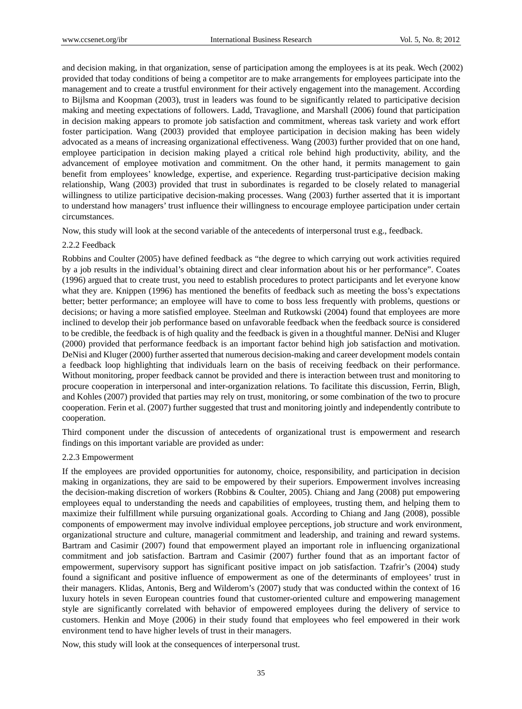and decision making, in that organization, sense of participation among the employees is at its peak. Wech (2002) provided that today conditions of being a competitor are to make arrangements for employees participate into the management and to create a trustful environment for their actively engagement into the management. According to Bijlsma and Koopman (2003), trust in leaders was found to be significantly related to participative decision making and meeting expectations of followers. Ladd, Travaglione, and Marshall (2006) found that participation in decision making appears to promote job satisfaction and commitment, whereas task variety and work effort foster participation. Wang (2003) provided that employee participation in decision making has been widely advocated as a means of increasing organizational effectiveness. Wang (2003) further provided that on one hand, employee participation in decision making played a critical role behind high productivity, ability, and the advancement of employee motivation and commitment. On the other hand, it permits management to gain benefit from employees' knowledge, expertise, and experience. Regarding trust-participative decision making relationship, Wang (2003) provided that trust in subordinates is regarded to be closely related to managerial willingness to utilize participative decision-making processes. Wang (2003) further asserted that it is important to understand how managers' trust influence their willingness to encourage employee participation under certain circumstances.

Now, this study will look at the second variable of the antecedents of interpersonal trust e.g., feedback.

#### 2.2.2 Feedback

Robbins and Coulter (2005) have defined feedback as "the degree to which carrying out work activities required by a job results in the individual's obtaining direct and clear information about his or her performance". Coates (1996) argued that to create trust, you need to establish procedures to protect participants and let everyone know what they are. Knippen (1996) has mentioned the benefits of feedback such as meeting the boss's expectations better; better performance; an employee will have to come to boss less frequently with problems, questions or decisions; or having a more satisfied employee. Steelman and Rutkowski (2004) found that employees are more inclined to develop their job performance based on unfavorable feedback when the feedback source is considered to be credible, the feedback is of high quality and the feedback is given in a thoughtful manner. DeNisi and Kluger (2000) provided that performance feedback is an important factor behind high job satisfaction and motivation. DeNisi and Kluger (2000) further asserted that numerous decision-making and career development models contain a feedback loop highlighting that individuals learn on the basis of receiving feedback on their performance. Without monitoring, proper feedback cannot be provided and there is interaction between trust and monitoring to procure cooperation in interpersonal and inter-organization relations. To facilitate this discussion, Ferrin, Bligh, and Kohles (2007) provided that parties may rely on trust, monitoring, or some combination of the two to procure cooperation. Ferin et al. (2007) further suggested that trust and monitoring jointly and independently contribute to cooperation.

Third component under the discussion of antecedents of organizational trust is empowerment and research findings on this important variable are provided as under:

#### 2.2.3 Empowerment

If the employees are provided opportunities for autonomy, choice, responsibility, and participation in decision making in organizations, they are said to be empowered by their superiors. Empowerment involves increasing the decision-making discretion of workers (Robbins & Coulter, 2005). Chiang and Jang (2008) put empowering employees equal to understanding the needs and capabilities of employees, trusting them, and helping them to maximize their fulfillment while pursuing organizational goals. According to Chiang and Jang (2008), possible components of empowerment may involve individual employee perceptions, job structure and work environment, organizational structure and culture, managerial commitment and leadership, and training and reward systems. Bartram and Casimir (2007) found that empowerment played an important role in influencing organizational commitment and job satisfaction. Bartram and Casimir (2007) further found that as an important factor of empowerment, supervisory support has significant positive impact on job satisfaction. Tzafrir's (2004) study found a significant and positive influence of empowerment as one of the determinants of employees' trust in their managers. Klidas, Antonis, Berg and Wilderom's (2007) study that was conducted within the context of 16 luxury hotels in seven European countries found that customer-oriented culture and empowering management style are significantly correlated with behavior of empowered employees during the delivery of service to customers. Henkin and Moye (2006) in their study found that employees who feel empowered in their work environment tend to have higher levels of trust in their managers.

Now, this study will look at the consequences of interpersonal trust.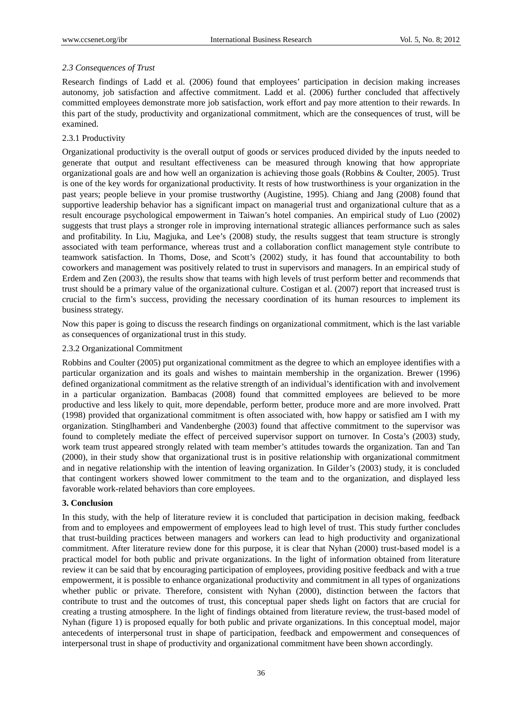# *2.3 Consequences of Trust*

Research findings of Ladd et al. (2006) found that employees' participation in decision making increases autonomy, job satisfaction and affective commitment. Ladd et al. (2006) further concluded that affectively committed employees demonstrate more job satisfaction, work effort and pay more attention to their rewards. In this part of the study, productivity and organizational commitment, which are the consequences of trust, will be examined.

# 2.3.1 Productivity

Organizational productivity is the overall output of goods or services produced divided by the inputs needed to generate that output and resultant effectiveness can be measured through knowing that how appropriate organizational goals are and how well an organization is achieving those goals (Robbins & Coulter, 2005). Trust is one of the key words for organizational productivity. It rests of how trustworthiness is your organization in the past years; people believe in your promise trustworthy (Augistine, 1995). Chiang and Jang (2008) found that supportive leadership behavior has a significant impact on managerial trust and organizational culture that as a result encourage psychological empowerment in Taiwan's hotel companies. An empirical study of Luo (2002) suggests that trust plays a stronger role in improving international strategic alliances performance such as sales and profitability. In Liu, Magjuka, and Lee's (2008) study, the results suggest that team structure is strongly associated with team performance, whereas trust and a collaboration conflict management style contribute to teamwork satisfaction. In Thoms, Dose, and Scott's (2002) study, it has found that accountability to both coworkers and management was positively related to trust in supervisors and managers. In an empirical study of Erdem and Zen (2003), the results show that teams with high levels of trust perform better and recommends that trust should be a primary value of the organizational culture. Costigan et al. (2007) report that increased trust is crucial to the firm's success, providing the necessary coordination of its human resources to implement its business strategy.

Now this paper is going to discuss the research findings on organizational commitment, which is the last variable as consequences of organizational trust in this study.

## 2.3.2 Organizational Commitment

Robbins and Coulter (2005) put organizational commitment as the degree to which an employee identifies with a particular organization and its goals and wishes to maintain membership in the organization. Brewer (1996) defined organizational commitment as the relative strength of an individual's identification with and involvement in a particular organization. Bambacas (2008) found that committed employees are believed to be more productive and less likely to quit, more dependable, perform better, produce more and are more involved. Pratt (1998) provided that organizational commitment is often associated with, how happy or satisfied am I with my organization. Stinglhamberi and Vandenberghe (2003) found that affective commitment to the supervisor was found to completely mediate the effect of perceived supervisor support on turnover. In Costa's (2003) study, work team trust appeared strongly related with team member's attitudes towards the organization. Tan and Tan (2000), in their study show that organizational trust is in positive relationship with organizational commitment and in negative relationship with the intention of leaving organization. In Gilder's (2003) study, it is concluded that contingent workers showed lower commitment to the team and to the organization, and displayed less favorable work-related behaviors than core employees.

## **3. Conclusion**

In this study, with the help of literature review it is concluded that participation in decision making, feedback from and to employees and empowerment of employees lead to high level of trust. This study further concludes that trust-building practices between managers and workers can lead to high productivity and organizational commitment. After literature review done for this purpose, it is clear that Nyhan (2000) trust-based model is a practical model for both public and private organizations. In the light of information obtained from literature review it can be said that by encouraging participation of employees, providing positive feedback and with a true empowerment, it is possible to enhance organizational productivity and commitment in all types of organizations whether public or private. Therefore, consistent with Nyhan (2000), distinction between the factors that contribute to trust and the outcomes of trust, this conceptual paper sheds light on factors that are crucial for creating a trusting atmosphere. In the light of findings obtained from literature review, the trust-based model of Nyhan (figure 1) is proposed equally for both public and private organizations. In this conceptual model, major antecedents of interpersonal trust in shape of participation, feedback and empowerment and consequences of interpersonal trust in shape of productivity and organizational commitment have been shown accordingly.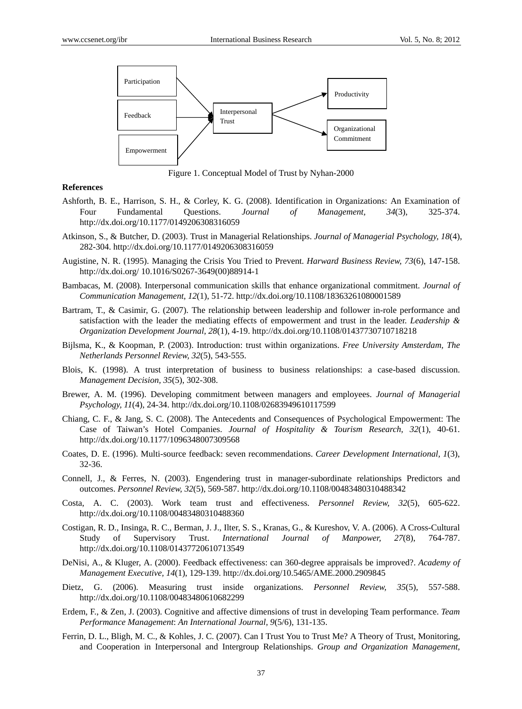

Figure 1. Conceptual Model of Trust by Nyhan-2000

#### **References**

- Ashforth, B. E., Harrison, S. H., & Corley, K. G. (2008). Identification in Organizations: An Examination of Four Fundamental Questions. *Journal of Management, 34*(3), 325-374. http://dx.doi.org/10.1177/0149206308316059
- Atkinson, S., & Butcher, D. (2003). Trust in Managerial Relationships. *Journal of Managerial Psychology, 18*(4), 282-304. http://dx.doi.org/10.1177/0149206308316059
- Augistine, N. R. (1995). Managing the Crisis You Tried to Prevent. *Harward Business Review, 73*(6), 147-158. http://dx.doi.org/ 10.1016/S0267-3649(00)88914-1
- Bambacas, M. (2008). Interpersonal communication skills that enhance organizational commitment. *Journal of Communication Management, 12*(1), 51-72. http://dx.doi.org/10.1108/18363261080001589
- Bartram, T., & Casimir, G. (2007). The relationship between leadership and follower in-role performance and satisfaction with the leader the mediating effects of empowerment and trust in the leader. *Leadership & Organization Development Journal, 28*(1), 4-19. http://dx.doi.org/10.1108/01437730710718218
- Bijlsma, K., & Koopman, P. (2003). Introduction: trust within organizations. *Free University Amsterdam, The Netherlands Personnel Review, 32*(5), 543-555.
- Blois, K. (1998). A trust interpretation of business to business relationships: a case-based discussion. *Management Decision, 35*(5), 302-308.
- Brewer, A. M. (1996). Developing commitment between managers and employees. *Journal of Managerial Psychology, 11*(4), 24-34. http://dx.doi.org/10.1108/02683949610117599
- Chiang, C. F., & Jang, S. C. (2008). The Antecedents and Consequences of Psychological Empowerment: The Case of Taiwan's Hotel Companies. *Journal of Hospitality & Tourism Research, 32*(1), 40-61. http://dx.doi.org/10.1177/1096348007309568
- Coates, D. E. (1996). Multi-source feedback: seven recommendations. *Career Development International, 1*(3), 32-36.
- Connell, J., & Ferres, N. (2003). Engendering trust in manager-subordinate relationships Predictors and outcomes. *Personnel Review, 32*(5), 569-587. http://dx.doi.org/10.1108/00483480310488342
- Costa, A. C. (2003). Work team trust and effectiveness. *Personnel Review, 32*(5), 605-622. http://dx.doi.org/10.1108/00483480310488360
- Costigan, R. D., Insinga, R. C., Berman, J. J., Ilter, S. S., Kranas, G., & Kureshov, V. A. (2006). A Cross-Cultural Study of Supervisory Trust. *International Journal of Manpower, 27*(8), 764-787. http://dx.doi.org/10.1108/01437720610713549
- DeNisi, A., & Kluger, A. (2000). Feedback effectiveness: can 360-degree appraisals be improved?. *Academy of Management Executive, 14*(1), 129-139. http://dx.doi.org/10.5465/AME.2000.2909845
- Dietz, G. (2006). Measuring trust inside organizations. *Personnel Review, 35*(5), 557-588. http://dx.doi.org/10.1108/00483480610682299
- Erdem, F., & Zen, J. (2003). Cognitive and affective dimensions of trust in developing Team performance. *Team Performance Management*: *An International Journal, 9*(5/6), 131-135.
- Ferrin, D. L., Bligh, M. C., & Kohles, J. C. (2007). Can I Trust You to Trust Me? A Theory of Trust, Monitoring, and Cooperation in Interpersonal and Intergroup Relationships. *Group and Organization Management,*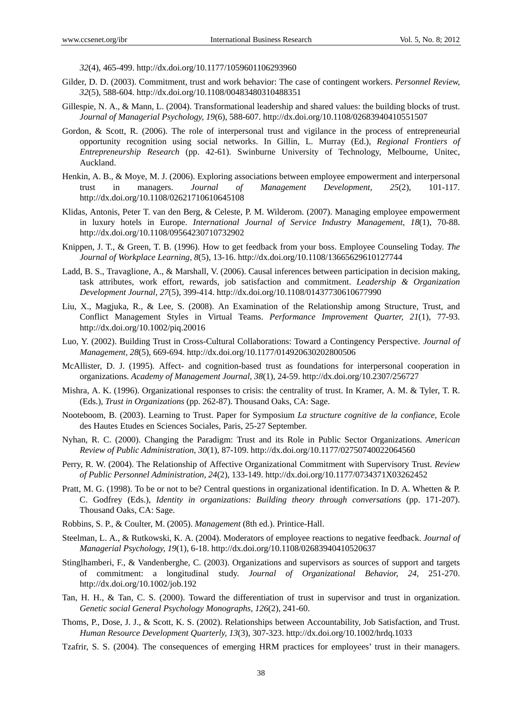*32*(4), 465-499. http://dx.doi.org/10.1177/1059601106293960

- Gilder, D. D. (2003). Commitment, trust and work behavior: The case of contingent workers. *Personnel Review, 32*(5), 588-604. http://dx.doi.org/10.1108/00483480310488351
- Gillespie, N. A., & Mann, L. (2004). Transformational leadership and shared values: the building blocks of trust. *Journal of Managerial Psychology, 19*(6), 588-607. http://dx.doi.org/10.1108/02683940410551507
- Gordon, & Scott, R. (2006). The role of interpersonal trust and vigilance in the process of entrepreneurial opportunity recognition using social networks. In Gillin, L. Murray (Ed.), *Regional Frontiers of Entrepreneurship Research* (pp. 42-61). Swinburne University of Technology, Melbourne, Unitec, Auckland.
- Henkin, A. B., & Moye, M. J. (2006). Exploring associations between employee empowerment and interpersonal trust in managers. *Journal of Management Development, 25*(2), 101-117. http://dx.doi.org/10.1108/02621710610645108
- Klidas, Antonis, Peter T. van den Berg, & Celeste, P. M. Wilderom. (2007). Managing employee empowerment in luxury hotels in Europe. *International Journal of Service Industry Management, 18*(1), 70-88. http://dx.doi.org/10.1108/09564230710732902
- Knippen, J. T., & Green, T. B. (1996). How to get feedback from your boss. Employee Counseling Today. *The Journal of Workplace Learning, 8*(5), 13-16. http://dx.doi.org/10.1108/13665629610127744
- Ladd, B. S., Travaglione, A., & Marshall, V. (2006). Causal inferences between participation in decision making, task attributes, work effort, rewards, job satisfaction and commitment. *Leadership & Organization Development Journal, 27*(5), 399-414. http://dx.doi.org/10.1108/01437730610677990
- Liu, X., Magjuka, R., & Lee, S. (2008). An Examination of the Relationship among Structure, Trust, and Conflict Management Styles in Virtual Teams. *Performance Improvement Quarter, 21*(1), 77-93. http://dx.doi.org/10.1002/piq.20016
- Luo, Y. (2002). Building Trust in Cross-Cultural Collaborations: Toward a Contingency Perspective. *Journal of Management, 28*(5), 669-694. http://dx.doi.org/10.1177/014920630202800506
- McAllister, D. J. (1995). Affect- and cognition-based trust as foundations for interpersonal cooperation in organizations. *Academy of Management Journal, 38*(1), 24-59. http://dx.doi.org/10.2307/256727
- Mishra, A. K. (1996). Organizational responses to crisis: the centrality of trust. In Kramer, A. M. & Tyler, T. R. (Eds.), *Trust in Organizations* (pp. 262-87). Thousand Oaks, CA: Sage.
- Nooteboom, B. (2003). Learning to Trust. Paper for Symposium *La structure cognitive de la confiance*, Ecole des Hautes Etudes en Sciences Sociales, Paris, 25-27 September.
- Nyhan, R. C. (2000). Changing the Paradigm: Trust and its Role in Public Sector Organizations. *American Review of Public Administration, 30*(1), 87-109. http://dx.doi.org/10.1177/02750740022064560
- Perry, R. W. (2004). The Relationship of Affective Organizational Commitment with Supervisory Trust. *Review of Public Personnel Administration, 24*(2), 133-149. http://dx.doi.org/10.1177/0734371X03262452
- Pratt, M. G. (1998). To be or not to be? Central questions in organizational identification. In D. A. Whetten & P. C. Godfrey (Eds.), *Identity in organizations: Building theory through conversations* (pp. 171-207). Thousand Oaks, CA: Sage.
- Robbins, S. P., & Coulter, M. (2005). *Management* (8th ed.). Printice-Hall.
- Steelman, L. A., & Rutkowski, K. A. (2004). Moderators of employee reactions to negative feedback. *Journal of Managerial Psychology, 19*(1), 6-18. http://dx.doi.org/10.1108/02683940410520637
- Stinglhamberi, F., & Vandenberghe, C. (2003). Organizations and supervisors as sources of support and targets of commitment: a longitudinal study. *Journal of Organizational Behavior, 24*, 251-270. http://dx.doi.org/10.1002/job.192
- Tan, H. H., & Tan, C. S. (2000). Toward the differentiation of trust in supervisor and trust in organization. *Genetic social General Psychology Monographs, 126*(2), 241-60.
- Thoms, P., Dose, J. J., & Scott, K. S. (2002). Relationships between Accountability, Job Satisfaction, and Trust. *Human Resource Development Quarterly, 13*(3), 307-323. http://dx.doi.org/10.1002/hrdq.1033
- Tzafrir, S. S. (2004). The consequences of emerging HRM practices for employees' trust in their managers.